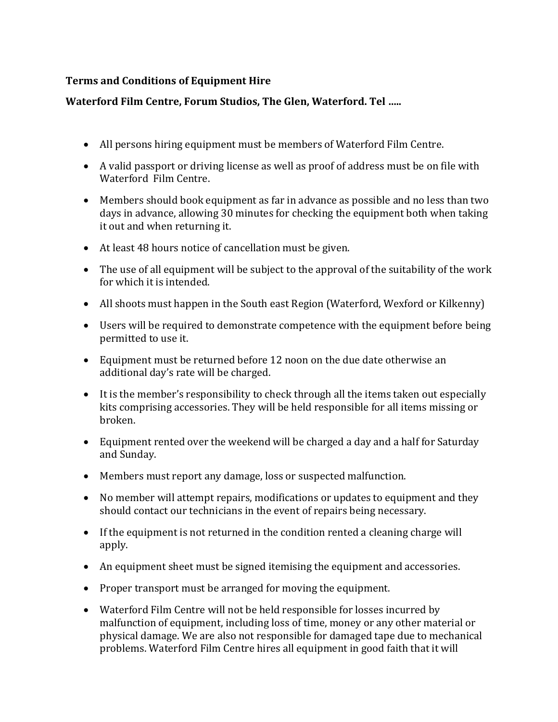## **Terms and Conditions of Equipment Hire**

## **Waterford Film Centre, Forum Studios, The Glen, Waterford. Tel …..**

- All persons hiring equipment must be members of Waterford Film Centre.
- A valid passport or driving license as well as proof of address must be on file with Waterford Film Centre.
- Members should book equipment as far in advance as possible and no less than two days in advance, allowing 30 minutes for checking the equipment both when taking it out and when returning it.
- At least 48 hours notice of cancellation must be given.
- The use of all equipment will be subject to the approval of the suitability of the work for which it is intended.
- All shoots must happen in the South east Region (Waterford, Wexford or Kilkenny)
- Users will be required to demonstrate competence with the equipment before being permitted to use it.
- Equipment must be returned before 12 noon on the due date otherwise an additional day's rate will be charged.
- It is the member's responsibility to check through all the items taken out especially kits comprising accessories. They will be held responsible for all items missing or broken.
- Equipment rented over the weekend will be charged a day and a half for Saturday and Sunday.
- Members must report any damage, loss or suspected malfunction.
- No member will attempt repairs, modifications or updates to equipment and they should contact our technicians in the event of repairs being necessary.
- If the equipment is not returned in the condition rented a cleaning charge will apply.
- An equipment sheet must be signed itemising the equipment and accessories.
- Proper transport must be arranged for moving the equipment.
- Waterford Film Centre will not be held responsible for losses incurred by malfunction of equipment, including loss of time, money or any other material or physical damage. We are also not responsible for damaged tape due to mechanical problems. Waterford Film Centre hires all equipment in good faith that it will